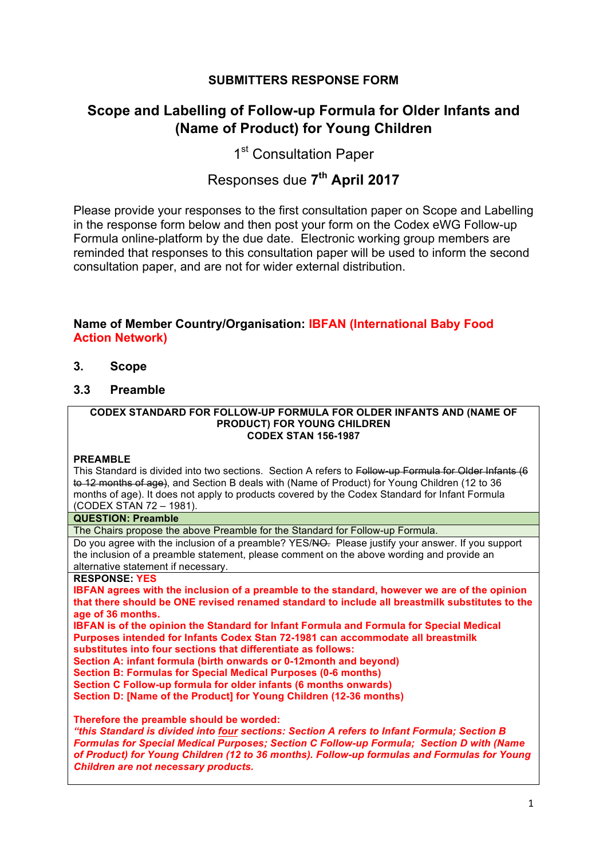# **SUBMITTERS RESPONSE FORM**

# **Scope and Labelling of Follow-up Formula for Older Infants and (Name of Product) for Young Children**

1<sup>st</sup> Consultation Paper

# Responses due **7th April 2017**

Please provide your responses to the first consultation paper on Scope and Labelling in the response form below and then post your form on the Codex eWG Follow-up Formula online-platform by the due date. Electronic working group members are reminded that responses to this consultation paper will be used to inform the second consultation paper, and are not for wider external distribution.

# **Name of Member Country/Organisation: IBFAN (International Baby Food Action Network)**

- **3. Scope**
- **3.3 Preamble**

#### **CODEX STANDARD FOR FOLLOW-UP FORMULA FOR OLDER INFANTS AND (NAME OF PRODUCT) FOR YOUNG CHILDREN CODEX STAN 156-1987**

#### **PREAMBLE**

This Standard is divided into two sections. Section A refers to Follow-up Formula for Older Infants (6 to 12 months of age), and Section B deals with (Name of Product) for Young Children (12 to 36 months of age). It does not apply to products covered by the Codex Standard for Infant Formula (CODEX STAN 72 – 1981).

#### **QUESTION: Preamble**

The Chairs propose the above Preamble for the Standard for Follow-up Formula.

Do you agree with the inclusion of a preamble? YES/NO. Please justify your answer. If you support the inclusion of a preamble statement, please comment on the above wording and provide an alternative statement if necessary.

## **RESPONSE: YES**

**IBFAN agrees with the inclusion of a preamble to the standard, however we are of the opinion that there should be ONE revised renamed standard to include all breastmilk substitutes to the age of 36 months.** 

**IBFAN is of the opinion the Standard for Infant Formula and Formula for Special Medical Purposes intended for Infants Codex Stan 72-1981 can accommodate all breastmilk substitutes into four sections that differentiate as follows:**

**Section A: infant formula (birth onwards or 0-12month and beyond)**

**Section B: Formulas for Special Medical Purposes (0-6 months)**

**Section C Follow-up formula for older infants (6 months onwards)**

**Section D: [Name of the Product] for Young Children (12-36 months)**

**Therefore the preamble should be worded:**

*"this Standard is divided into four sections: Section A refers to Infant Formula; Section B Formulas for Special Medical Purposes; Section C Follow-up Formula; Section D with (Name of Product) for Young Children (12 to 36 months). Follow-up formulas and Formulas for Young Children are not necessary products.*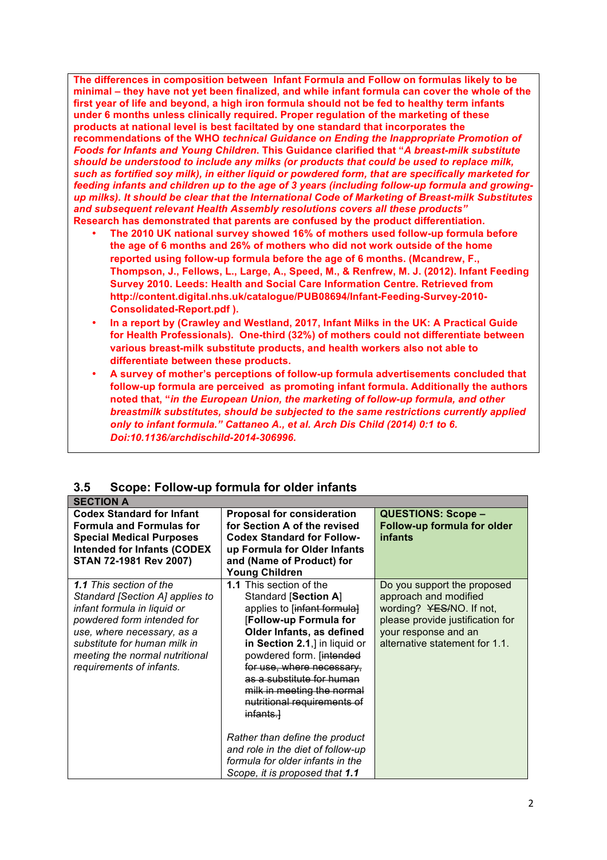**The differences in composition between Infant Formula and Follow on formulas likely to be minimal – they have not yet been finalized, and while infant formula can cover the whole of the first year of life and beyond, a high iron formula should not be fed to healthy term infants under 6 months unless clinically required. Proper regulation of the marketing of these products at national level is best faciltated by one standard that incorporates the recommendations of the WHO** *technical Guidance on Ending the Inappropriate Promotion of Foods for Infants and Young Children***. This Guidance clarified that "***A breast-milk substitute should be understood to include any milks (or products that could be used to replace milk, such as fortified soy milk), in either liquid or powdered form, that are specifically marketed for feeding infants and children up to the age of 3 years (including follow-up formula and growingup milks). It should be clear that the International Code of Marketing of Breast-milk Substitutes and subsequent relevant Health Assembly resolutions covers all these products"* **Research has demonstrated that parents are confused by the product differentiation.**

- **The 2010 UK national survey showed 16% of mothers used follow-up formula before the age of 6 months and 26% of mothers who did not work outside of the home reported using follow-up formula before the age of 6 months. (Mcandrew, F., Thompson, J., Fellows, L., Large, A., Speed, M., & Renfrew, M. J. (2012). Infant Feeding Survey 2010. Leeds: Health and Social Care Information Centre. Retrieved from http://content.digital.nhs.uk/catalogue/PUB08694/Infant-Feeding-Survey-2010- Consolidated-Report.pdf ).**
- **In a report by (Crawley and Westland, 2017, Infant Milks in the UK: A Practical Guide for Health Professionals). One-third (32%) of mothers could not differentiate between various breast-milk substitute products, and health workers also not able to differentiate between these products.**
- **A survey of mother's perceptions of follow-up formula advertisements concluded that follow-up formula are perceived as promoting infant formula. Additionally the authors noted that, "***in the European Union, the marketing of follow-up formula, and other breastmilk substitutes, should be subjected to the same restrictions currently applied only to infant formula." Cattaneo A., et al. Arch Dis Child (2014) 0:1 to 6. Doi:10.1136/archdischild-2014-306996.*

| 3.5 | Scope: Follow-up formula for older infants |  |  |
|-----|--------------------------------------------|--|--|
|     |                                            |  |  |

| <b>SECTION A</b>                                                                                                                                                                                                                                           |                                                                                                                                                                                                                                                                                                                                                                                                                                                                                    |                                                                                                                                                                                |
|------------------------------------------------------------------------------------------------------------------------------------------------------------------------------------------------------------------------------------------------------------|------------------------------------------------------------------------------------------------------------------------------------------------------------------------------------------------------------------------------------------------------------------------------------------------------------------------------------------------------------------------------------------------------------------------------------------------------------------------------------|--------------------------------------------------------------------------------------------------------------------------------------------------------------------------------|
| <b>Codex Standard for Infant</b><br><b>Formula and Formulas for</b><br><b>Special Medical Purposes</b><br><b>Intended for Infants (CODEX</b><br>STAN 72-1981 Rev 2007)                                                                                     | <b>Proposal for consideration</b><br>for Section A of the revised<br><b>Codex Standard for Follow-</b><br>up Formula for Older Infants<br>and (Name of Product) for<br><b>Young Children</b>                                                                                                                                                                                                                                                                                       | <b>QUESTIONS: Scope -</b><br>Follow-up formula for older<br><i>infants</i>                                                                                                     |
| <b>1.1 This section of the</b><br>Standard [Section A] applies to<br>infant formula in liquid or<br>powdered form intended for<br>use, where necessary, as a<br>substitute for human milk in<br>meeting the normal nutritional<br>requirements of infants. | 1.1 This section of the<br>Standard [Section A]<br>applies to [infant formula]<br>[Follow-up Formula for<br>Older Infants, as defined<br>in Section 2.1,] in liquid or<br>powdered form. [intended<br>for use, where necessary,<br>as a substitute for human<br>milk in meeting the normal<br>nutritional requirements of<br>infants.<br>Rather than define the product<br>and role in the diet of follow-up<br>formula for older infants in the<br>Scope, it is proposed that 1.1 | Do you support the proposed<br>approach and modified<br>wording? YES/NO. If not,<br>please provide justification for<br>your response and an<br>alternative statement for 1.1. |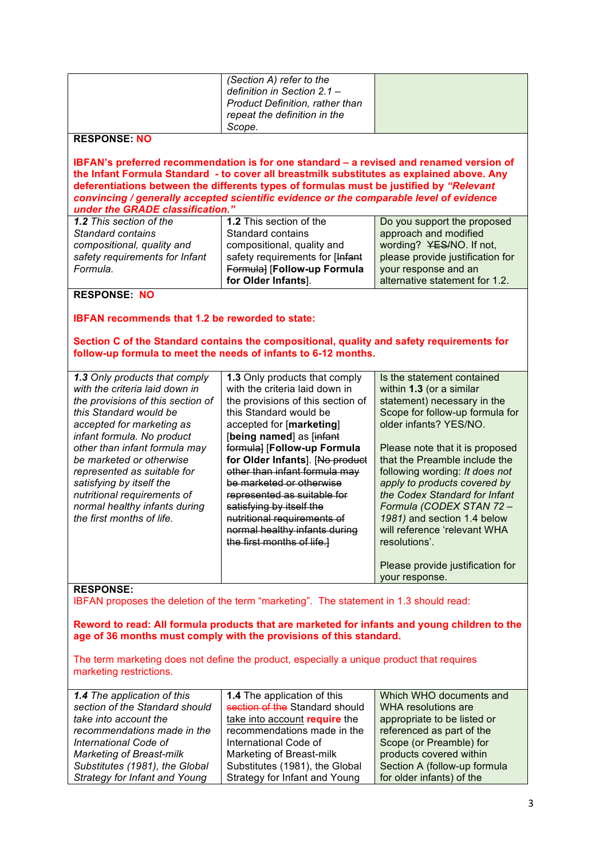| (Section A) refer to the<br>definition in Section 2.1 -<br>Product Definition, rather than<br>repeat the definition in the<br>Scope.<br><b>RESPONSE: NO</b><br>IBFAN's preferred recommendation is for one standard - a revised and renamed version of<br>the Infant Formula Standard - to cover all breastmilk substitutes as explained above. Any<br>deferentiations between the differents types of formulas must be justified by "Relevant<br>convincing / generally accepted scientific evidence or the comparable level of evidence<br>under the GRADE classification."<br>1.2 This section of the<br>1.2 This section of the<br>Do you support the proposed<br>approach and modified<br><b>Standard contains</b><br>Standard contains<br>compositional, quality and<br>wording? YES/NO. If not,<br>compositional, quality and<br>safety requirements for [Infant<br>please provide justification for<br>safety requirements for Infant<br>Formula] [Follow-up Formula<br>Formula.<br>your response and an<br>for Older Infants].<br>alternative statement for 1.2.<br><b>RESPONSE: NO</b><br><b>IBFAN recommends that 1.2 be reworded to state:</b><br>Section C of the Standard contains the compositional, quality and safety requirements for<br>follow-up formula to meet the needs of infants to 6-12 months.<br>1.3 Only products that comply<br>Is the statement contained<br>1.3 Only products that comply<br>with the criteria laid down in<br>with the criteria laid down in<br>within 1.3 (or a similar<br>statement) necessary in the<br>the provisions of this section of<br>the provisions of this section of<br>this Standard would be<br>Scope for follow-up formula for<br>this Standard would be<br>older infants? YES/NO.<br>accepted for marketing as<br>accepted for [marketing]<br>infant formula. No product<br>[being named] as [infant<br>formula] [Follow-up Formula<br>other than infant formula may<br>Please note that it is proposed<br>for Older Infants]. [No product<br>that the Preamble include the<br>be marketed or otherwise<br>represented as suitable for<br>other than infant formula may<br>following wording: It does not<br>satisfying by itself the<br>be marketed or otherwise<br>apply to products covered by<br>nutritional requirements of<br>the Codex Standard for Infant<br>represented as suitable for<br>normal healthy infants during<br>Formula (CODEX STAN 72 -<br>satisfying by itself the |  |  |  |
|-------------------------------------------------------------------------------------------------------------------------------------------------------------------------------------------------------------------------------------------------------------------------------------------------------------------------------------------------------------------------------------------------------------------------------------------------------------------------------------------------------------------------------------------------------------------------------------------------------------------------------------------------------------------------------------------------------------------------------------------------------------------------------------------------------------------------------------------------------------------------------------------------------------------------------------------------------------------------------------------------------------------------------------------------------------------------------------------------------------------------------------------------------------------------------------------------------------------------------------------------------------------------------------------------------------------------------------------------------------------------------------------------------------------------------------------------------------------------------------------------------------------------------------------------------------------------------------------------------------------------------------------------------------------------------------------------------------------------------------------------------------------------------------------------------------------------------------------------------------------------------------------------------------------------------------------------------------------------------------------------------------------------------------------------------------------------------------------------------------------------------------------------------------------------------------------------------------------------------------------------------------------------------------------------------------------------------------------------------------------------------------------------------------------------------------------------------------|--|--|--|
|                                                                                                                                                                                                                                                                                                                                                                                                                                                                                                                                                                                                                                                                                                                                                                                                                                                                                                                                                                                                                                                                                                                                                                                                                                                                                                                                                                                                                                                                                                                                                                                                                                                                                                                                                                                                                                                                                                                                                                                                                                                                                                                                                                                                                                                                                                                                                                                                                                                             |  |  |  |
|                                                                                                                                                                                                                                                                                                                                                                                                                                                                                                                                                                                                                                                                                                                                                                                                                                                                                                                                                                                                                                                                                                                                                                                                                                                                                                                                                                                                                                                                                                                                                                                                                                                                                                                                                                                                                                                                                                                                                                                                                                                                                                                                                                                                                                                                                                                                                                                                                                                             |  |  |  |
|                                                                                                                                                                                                                                                                                                                                                                                                                                                                                                                                                                                                                                                                                                                                                                                                                                                                                                                                                                                                                                                                                                                                                                                                                                                                                                                                                                                                                                                                                                                                                                                                                                                                                                                                                                                                                                                                                                                                                                                                                                                                                                                                                                                                                                                                                                                                                                                                                                                             |  |  |  |
|                                                                                                                                                                                                                                                                                                                                                                                                                                                                                                                                                                                                                                                                                                                                                                                                                                                                                                                                                                                                                                                                                                                                                                                                                                                                                                                                                                                                                                                                                                                                                                                                                                                                                                                                                                                                                                                                                                                                                                                                                                                                                                                                                                                                                                                                                                                                                                                                                                                             |  |  |  |
|                                                                                                                                                                                                                                                                                                                                                                                                                                                                                                                                                                                                                                                                                                                                                                                                                                                                                                                                                                                                                                                                                                                                                                                                                                                                                                                                                                                                                                                                                                                                                                                                                                                                                                                                                                                                                                                                                                                                                                                                                                                                                                                                                                                                                                                                                                                                                                                                                                                             |  |  |  |
|                                                                                                                                                                                                                                                                                                                                                                                                                                                                                                                                                                                                                                                                                                                                                                                                                                                                                                                                                                                                                                                                                                                                                                                                                                                                                                                                                                                                                                                                                                                                                                                                                                                                                                                                                                                                                                                                                                                                                                                                                                                                                                                                                                                                                                                                                                                                                                                                                                                             |  |  |  |
|                                                                                                                                                                                                                                                                                                                                                                                                                                                                                                                                                                                                                                                                                                                                                                                                                                                                                                                                                                                                                                                                                                                                                                                                                                                                                                                                                                                                                                                                                                                                                                                                                                                                                                                                                                                                                                                                                                                                                                                                                                                                                                                                                                                                                                                                                                                                                                                                                                                             |  |  |  |
|                                                                                                                                                                                                                                                                                                                                                                                                                                                                                                                                                                                                                                                                                                                                                                                                                                                                                                                                                                                                                                                                                                                                                                                                                                                                                                                                                                                                                                                                                                                                                                                                                                                                                                                                                                                                                                                                                                                                                                                                                                                                                                                                                                                                                                                                                                                                                                                                                                                             |  |  |  |
|                                                                                                                                                                                                                                                                                                                                                                                                                                                                                                                                                                                                                                                                                                                                                                                                                                                                                                                                                                                                                                                                                                                                                                                                                                                                                                                                                                                                                                                                                                                                                                                                                                                                                                                                                                                                                                                                                                                                                                                                                                                                                                                                                                                                                                                                                                                                                                                                                                                             |  |  |  |
|                                                                                                                                                                                                                                                                                                                                                                                                                                                                                                                                                                                                                                                                                                                                                                                                                                                                                                                                                                                                                                                                                                                                                                                                                                                                                                                                                                                                                                                                                                                                                                                                                                                                                                                                                                                                                                                                                                                                                                                                                                                                                                                                                                                                                                                                                                                                                                                                                                                             |  |  |  |
|                                                                                                                                                                                                                                                                                                                                                                                                                                                                                                                                                                                                                                                                                                                                                                                                                                                                                                                                                                                                                                                                                                                                                                                                                                                                                                                                                                                                                                                                                                                                                                                                                                                                                                                                                                                                                                                                                                                                                                                                                                                                                                                                                                                                                                                                                                                                                                                                                                                             |  |  |  |
|                                                                                                                                                                                                                                                                                                                                                                                                                                                                                                                                                                                                                                                                                                                                                                                                                                                                                                                                                                                                                                                                                                                                                                                                                                                                                                                                                                                                                                                                                                                                                                                                                                                                                                                                                                                                                                                                                                                                                                                                                                                                                                                                                                                                                                                                                                                                                                                                                                                             |  |  |  |
|                                                                                                                                                                                                                                                                                                                                                                                                                                                                                                                                                                                                                                                                                                                                                                                                                                                                                                                                                                                                                                                                                                                                                                                                                                                                                                                                                                                                                                                                                                                                                                                                                                                                                                                                                                                                                                                                                                                                                                                                                                                                                                                                                                                                                                                                                                                                                                                                                                                             |  |  |  |
|                                                                                                                                                                                                                                                                                                                                                                                                                                                                                                                                                                                                                                                                                                                                                                                                                                                                                                                                                                                                                                                                                                                                                                                                                                                                                                                                                                                                                                                                                                                                                                                                                                                                                                                                                                                                                                                                                                                                                                                                                                                                                                                                                                                                                                                                                                                                                                                                                                                             |  |  |  |
|                                                                                                                                                                                                                                                                                                                                                                                                                                                                                                                                                                                                                                                                                                                                                                                                                                                                                                                                                                                                                                                                                                                                                                                                                                                                                                                                                                                                                                                                                                                                                                                                                                                                                                                                                                                                                                                                                                                                                                                                                                                                                                                                                                                                                                                                                                                                                                                                                                                             |  |  |  |
|                                                                                                                                                                                                                                                                                                                                                                                                                                                                                                                                                                                                                                                                                                                                                                                                                                                                                                                                                                                                                                                                                                                                                                                                                                                                                                                                                                                                                                                                                                                                                                                                                                                                                                                                                                                                                                                                                                                                                                                                                                                                                                                                                                                                                                                                                                                                                                                                                                                             |  |  |  |
|                                                                                                                                                                                                                                                                                                                                                                                                                                                                                                                                                                                                                                                                                                                                                                                                                                                                                                                                                                                                                                                                                                                                                                                                                                                                                                                                                                                                                                                                                                                                                                                                                                                                                                                                                                                                                                                                                                                                                                                                                                                                                                                                                                                                                                                                                                                                                                                                                                                             |  |  |  |
|                                                                                                                                                                                                                                                                                                                                                                                                                                                                                                                                                                                                                                                                                                                                                                                                                                                                                                                                                                                                                                                                                                                                                                                                                                                                                                                                                                                                                                                                                                                                                                                                                                                                                                                                                                                                                                                                                                                                                                                                                                                                                                                                                                                                                                                                                                                                                                                                                                                             |  |  |  |
|                                                                                                                                                                                                                                                                                                                                                                                                                                                                                                                                                                                                                                                                                                                                                                                                                                                                                                                                                                                                                                                                                                                                                                                                                                                                                                                                                                                                                                                                                                                                                                                                                                                                                                                                                                                                                                                                                                                                                                                                                                                                                                                                                                                                                                                                                                                                                                                                                                                             |  |  |  |
|                                                                                                                                                                                                                                                                                                                                                                                                                                                                                                                                                                                                                                                                                                                                                                                                                                                                                                                                                                                                                                                                                                                                                                                                                                                                                                                                                                                                                                                                                                                                                                                                                                                                                                                                                                                                                                                                                                                                                                                                                                                                                                                                                                                                                                                                                                                                                                                                                                                             |  |  |  |
|                                                                                                                                                                                                                                                                                                                                                                                                                                                                                                                                                                                                                                                                                                                                                                                                                                                                                                                                                                                                                                                                                                                                                                                                                                                                                                                                                                                                                                                                                                                                                                                                                                                                                                                                                                                                                                                                                                                                                                                                                                                                                                                                                                                                                                                                                                                                                                                                                                                             |  |  |  |
|                                                                                                                                                                                                                                                                                                                                                                                                                                                                                                                                                                                                                                                                                                                                                                                                                                                                                                                                                                                                                                                                                                                                                                                                                                                                                                                                                                                                                                                                                                                                                                                                                                                                                                                                                                                                                                                                                                                                                                                                                                                                                                                                                                                                                                                                                                                                                                                                                                                             |  |  |  |
|                                                                                                                                                                                                                                                                                                                                                                                                                                                                                                                                                                                                                                                                                                                                                                                                                                                                                                                                                                                                                                                                                                                                                                                                                                                                                                                                                                                                                                                                                                                                                                                                                                                                                                                                                                                                                                                                                                                                                                                                                                                                                                                                                                                                                                                                                                                                                                                                                                                             |  |  |  |
|                                                                                                                                                                                                                                                                                                                                                                                                                                                                                                                                                                                                                                                                                                                                                                                                                                                                                                                                                                                                                                                                                                                                                                                                                                                                                                                                                                                                                                                                                                                                                                                                                                                                                                                                                                                                                                                                                                                                                                                                                                                                                                                                                                                                                                                                                                                                                                                                                                                             |  |  |  |
|                                                                                                                                                                                                                                                                                                                                                                                                                                                                                                                                                                                                                                                                                                                                                                                                                                                                                                                                                                                                                                                                                                                                                                                                                                                                                                                                                                                                                                                                                                                                                                                                                                                                                                                                                                                                                                                                                                                                                                                                                                                                                                                                                                                                                                                                                                                                                                                                                                                             |  |  |  |
|                                                                                                                                                                                                                                                                                                                                                                                                                                                                                                                                                                                                                                                                                                                                                                                                                                                                                                                                                                                                                                                                                                                                                                                                                                                                                                                                                                                                                                                                                                                                                                                                                                                                                                                                                                                                                                                                                                                                                                                                                                                                                                                                                                                                                                                                                                                                                                                                                                                             |  |  |  |
|                                                                                                                                                                                                                                                                                                                                                                                                                                                                                                                                                                                                                                                                                                                                                                                                                                                                                                                                                                                                                                                                                                                                                                                                                                                                                                                                                                                                                                                                                                                                                                                                                                                                                                                                                                                                                                                                                                                                                                                                                                                                                                                                                                                                                                                                                                                                                                                                                                                             |  |  |  |
|                                                                                                                                                                                                                                                                                                                                                                                                                                                                                                                                                                                                                                                                                                                                                                                                                                                                                                                                                                                                                                                                                                                                                                                                                                                                                                                                                                                                                                                                                                                                                                                                                                                                                                                                                                                                                                                                                                                                                                                                                                                                                                                                                                                                                                                                                                                                                                                                                                                             |  |  |  |
|                                                                                                                                                                                                                                                                                                                                                                                                                                                                                                                                                                                                                                                                                                                                                                                                                                                                                                                                                                                                                                                                                                                                                                                                                                                                                                                                                                                                                                                                                                                                                                                                                                                                                                                                                                                                                                                                                                                                                                                                                                                                                                                                                                                                                                                                                                                                                                                                                                                             |  |  |  |
|                                                                                                                                                                                                                                                                                                                                                                                                                                                                                                                                                                                                                                                                                                                                                                                                                                                                                                                                                                                                                                                                                                                                                                                                                                                                                                                                                                                                                                                                                                                                                                                                                                                                                                                                                                                                                                                                                                                                                                                                                                                                                                                                                                                                                                                                                                                                                                                                                                                             |  |  |  |
|                                                                                                                                                                                                                                                                                                                                                                                                                                                                                                                                                                                                                                                                                                                                                                                                                                                                                                                                                                                                                                                                                                                                                                                                                                                                                                                                                                                                                                                                                                                                                                                                                                                                                                                                                                                                                                                                                                                                                                                                                                                                                                                                                                                                                                                                                                                                                                                                                                                             |  |  |  |
|                                                                                                                                                                                                                                                                                                                                                                                                                                                                                                                                                                                                                                                                                                                                                                                                                                                                                                                                                                                                                                                                                                                                                                                                                                                                                                                                                                                                                                                                                                                                                                                                                                                                                                                                                                                                                                                                                                                                                                                                                                                                                                                                                                                                                                                                                                                                                                                                                                                             |  |  |  |
|                                                                                                                                                                                                                                                                                                                                                                                                                                                                                                                                                                                                                                                                                                                                                                                                                                                                                                                                                                                                                                                                                                                                                                                                                                                                                                                                                                                                                                                                                                                                                                                                                                                                                                                                                                                                                                                                                                                                                                                                                                                                                                                                                                                                                                                                                                                                                                                                                                                             |  |  |  |
|                                                                                                                                                                                                                                                                                                                                                                                                                                                                                                                                                                                                                                                                                                                                                                                                                                                                                                                                                                                                                                                                                                                                                                                                                                                                                                                                                                                                                                                                                                                                                                                                                                                                                                                                                                                                                                                                                                                                                                                                                                                                                                                                                                                                                                                                                                                                                                                                                                                             |  |  |  |
|                                                                                                                                                                                                                                                                                                                                                                                                                                                                                                                                                                                                                                                                                                                                                                                                                                                                                                                                                                                                                                                                                                                                                                                                                                                                                                                                                                                                                                                                                                                                                                                                                                                                                                                                                                                                                                                                                                                                                                                                                                                                                                                                                                                                                                                                                                                                                                                                                                                             |  |  |  |
|                                                                                                                                                                                                                                                                                                                                                                                                                                                                                                                                                                                                                                                                                                                                                                                                                                                                                                                                                                                                                                                                                                                                                                                                                                                                                                                                                                                                                                                                                                                                                                                                                                                                                                                                                                                                                                                                                                                                                                                                                                                                                                                                                                                                                                                                                                                                                                                                                                                             |  |  |  |
| the first months of life.<br>nutritional requirements of<br>1981) and section 1.4 below                                                                                                                                                                                                                                                                                                                                                                                                                                                                                                                                                                                                                                                                                                                                                                                                                                                                                                                                                                                                                                                                                                                                                                                                                                                                                                                                                                                                                                                                                                                                                                                                                                                                                                                                                                                                                                                                                                                                                                                                                                                                                                                                                                                                                                                                                                                                                                     |  |  |  |
| normal healthy infants during<br>will reference 'relevant WHA                                                                                                                                                                                                                                                                                                                                                                                                                                                                                                                                                                                                                                                                                                                                                                                                                                                                                                                                                                                                                                                                                                                                                                                                                                                                                                                                                                                                                                                                                                                                                                                                                                                                                                                                                                                                                                                                                                                                                                                                                                                                                                                                                                                                                                                                                                                                                                                               |  |  |  |
| the first months of life.]<br>resolutions'.                                                                                                                                                                                                                                                                                                                                                                                                                                                                                                                                                                                                                                                                                                                                                                                                                                                                                                                                                                                                                                                                                                                                                                                                                                                                                                                                                                                                                                                                                                                                                                                                                                                                                                                                                                                                                                                                                                                                                                                                                                                                                                                                                                                                                                                                                                                                                                                                                 |  |  |  |
|                                                                                                                                                                                                                                                                                                                                                                                                                                                                                                                                                                                                                                                                                                                                                                                                                                                                                                                                                                                                                                                                                                                                                                                                                                                                                                                                                                                                                                                                                                                                                                                                                                                                                                                                                                                                                                                                                                                                                                                                                                                                                                                                                                                                                                                                                                                                                                                                                                                             |  |  |  |
| Please provide justification for                                                                                                                                                                                                                                                                                                                                                                                                                                                                                                                                                                                                                                                                                                                                                                                                                                                                                                                                                                                                                                                                                                                                                                                                                                                                                                                                                                                                                                                                                                                                                                                                                                                                                                                                                                                                                                                                                                                                                                                                                                                                                                                                                                                                                                                                                                                                                                                                                            |  |  |  |
| your response.                                                                                                                                                                                                                                                                                                                                                                                                                                                                                                                                                                                                                                                                                                                                                                                                                                                                                                                                                                                                                                                                                                                                                                                                                                                                                                                                                                                                                                                                                                                                                                                                                                                                                                                                                                                                                                                                                                                                                                                                                                                                                                                                                                                                                                                                                                                                                                                                                                              |  |  |  |
| <b>RESPONSE:</b><br>IBFAN proposes the deletion of the term "marketing". The statement in 1.3 should read:                                                                                                                                                                                                                                                                                                                                                                                                                                                                                                                                                                                                                                                                                                                                                                                                                                                                                                                                                                                                                                                                                                                                                                                                                                                                                                                                                                                                                                                                                                                                                                                                                                                                                                                                                                                                                                                                                                                                                                                                                                                                                                                                                                                                                                                                                                                                                  |  |  |  |
|                                                                                                                                                                                                                                                                                                                                                                                                                                                                                                                                                                                                                                                                                                                                                                                                                                                                                                                                                                                                                                                                                                                                                                                                                                                                                                                                                                                                                                                                                                                                                                                                                                                                                                                                                                                                                                                                                                                                                                                                                                                                                                                                                                                                                                                                                                                                                                                                                                                             |  |  |  |
| Reword to read: All formula products that are marketed for infants and young children to the                                                                                                                                                                                                                                                                                                                                                                                                                                                                                                                                                                                                                                                                                                                                                                                                                                                                                                                                                                                                                                                                                                                                                                                                                                                                                                                                                                                                                                                                                                                                                                                                                                                                                                                                                                                                                                                                                                                                                                                                                                                                                                                                                                                                                                                                                                                                                                |  |  |  |
| age of 36 months must comply with the provisions of this standard.                                                                                                                                                                                                                                                                                                                                                                                                                                                                                                                                                                                                                                                                                                                                                                                                                                                                                                                                                                                                                                                                                                                                                                                                                                                                                                                                                                                                                                                                                                                                                                                                                                                                                                                                                                                                                                                                                                                                                                                                                                                                                                                                                                                                                                                                                                                                                                                          |  |  |  |
|                                                                                                                                                                                                                                                                                                                                                                                                                                                                                                                                                                                                                                                                                                                                                                                                                                                                                                                                                                                                                                                                                                                                                                                                                                                                                                                                                                                                                                                                                                                                                                                                                                                                                                                                                                                                                                                                                                                                                                                                                                                                                                                                                                                                                                                                                                                                                                                                                                                             |  |  |  |
|                                                                                                                                                                                                                                                                                                                                                                                                                                                                                                                                                                                                                                                                                                                                                                                                                                                                                                                                                                                                                                                                                                                                                                                                                                                                                                                                                                                                                                                                                                                                                                                                                                                                                                                                                                                                                                                                                                                                                                                                                                                                                                                                                                                                                                                                                                                                                                                                                                                             |  |  |  |
|                                                                                                                                                                                                                                                                                                                                                                                                                                                                                                                                                                                                                                                                                                                                                                                                                                                                                                                                                                                                                                                                                                                                                                                                                                                                                                                                                                                                                                                                                                                                                                                                                                                                                                                                                                                                                                                                                                                                                                                                                                                                                                                                                                                                                                                                                                                                                                                                                                                             |  |  |  |
| The term marketing does not define the product, especially a unique product that requires                                                                                                                                                                                                                                                                                                                                                                                                                                                                                                                                                                                                                                                                                                                                                                                                                                                                                                                                                                                                                                                                                                                                                                                                                                                                                                                                                                                                                                                                                                                                                                                                                                                                                                                                                                                                                                                                                                                                                                                                                                                                                                                                                                                                                                                                                                                                                                   |  |  |  |
| marketing restrictions.                                                                                                                                                                                                                                                                                                                                                                                                                                                                                                                                                                                                                                                                                                                                                                                                                                                                                                                                                                                                                                                                                                                                                                                                                                                                                                                                                                                                                                                                                                                                                                                                                                                                                                                                                                                                                                                                                                                                                                                                                                                                                                                                                                                                                                                                                                                                                                                                                                     |  |  |  |
| Which WHO documents and                                                                                                                                                                                                                                                                                                                                                                                                                                                                                                                                                                                                                                                                                                                                                                                                                                                                                                                                                                                                                                                                                                                                                                                                                                                                                                                                                                                                                                                                                                                                                                                                                                                                                                                                                                                                                                                                                                                                                                                                                                                                                                                                                                                                                                                                                                                                                                                                                                     |  |  |  |
| 1.4 The application of this<br>1.4 The application of this<br>section of the Standard should<br>section of the Standard should<br><b>WHA resolutions are</b>                                                                                                                                                                                                                                                                                                                                                                                                                                                                                                                                                                                                                                                                                                                                                                                                                                                                                                                                                                                                                                                                                                                                                                                                                                                                                                                                                                                                                                                                                                                                                                                                                                                                                                                                                                                                                                                                                                                                                                                                                                                                                                                                                                                                                                                                                                |  |  |  |
| take into account the                                                                                                                                                                                                                                                                                                                                                                                                                                                                                                                                                                                                                                                                                                                                                                                                                                                                                                                                                                                                                                                                                                                                                                                                                                                                                                                                                                                                                                                                                                                                                                                                                                                                                                                                                                                                                                                                                                                                                                                                                                                                                                                                                                                                                                                                                                                                                                                                                                       |  |  |  |
| take into account require the<br>appropriate to be listed or<br>recommendations made in the                                                                                                                                                                                                                                                                                                                                                                                                                                                                                                                                                                                                                                                                                                                                                                                                                                                                                                                                                                                                                                                                                                                                                                                                                                                                                                                                                                                                                                                                                                                                                                                                                                                                                                                                                                                                                                                                                                                                                                                                                                                                                                                                                                                                                                                                                                                                                                 |  |  |  |
| recommendations made in the<br>referenced as part of the                                                                                                                                                                                                                                                                                                                                                                                                                                                                                                                                                                                                                                                                                                                                                                                                                                                                                                                                                                                                                                                                                                                                                                                                                                                                                                                                                                                                                                                                                                                                                                                                                                                                                                                                                                                                                                                                                                                                                                                                                                                                                                                                                                                                                                                                                                                                                                                                    |  |  |  |
| International Code of<br>International Code of<br>Scope (or Preamble) for                                                                                                                                                                                                                                                                                                                                                                                                                                                                                                                                                                                                                                                                                                                                                                                                                                                                                                                                                                                                                                                                                                                                                                                                                                                                                                                                                                                                                                                                                                                                                                                                                                                                                                                                                                                                                                                                                                                                                                                                                                                                                                                                                                                                                                                                                                                                                                                   |  |  |  |
| products covered within<br><b>Marketing of Breast-milk</b><br>Marketing of Breast-milk<br>Section A (follow-up formula<br>Substitutes (1981), the Global<br>Substitutes (1981), the Global                                                                                                                                                                                                                                                                                                                                                                                                                                                                                                                                                                                                                                                                                                                                                                                                                                                                                                                                                                                                                                                                                                                                                                                                                                                                                                                                                                                                                                                                                                                                                                                                                                                                                                                                                                                                                                                                                                                                                                                                                                                                                                                                                                                                                                                                  |  |  |  |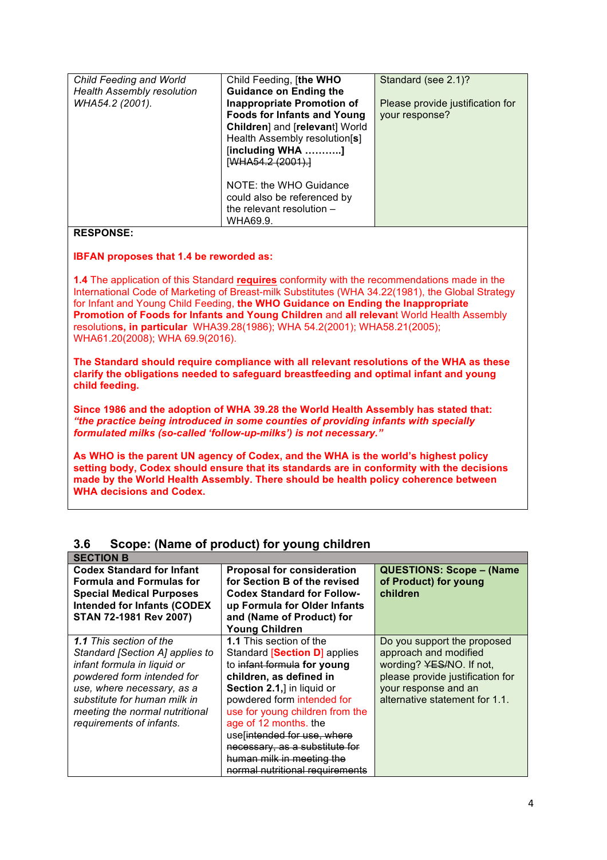| Child Feeding and World           | Child Feeding, [the WHO            | Standard (see 2.1)?              |
|-----------------------------------|------------------------------------|----------------------------------|
| <b>Health Assembly resolution</b> | <b>Guidance on Ending the</b>      |                                  |
| WHA54.2 (2001).                   | <b>Inappropriate Promotion of</b>  | Please provide justification for |
|                                   | <b>Foods for Infants and Young</b> | your response?                   |
|                                   | Children] and [relevant] World     |                                  |
|                                   | Health Assembly resolution[s]      |                                  |
|                                   | [including WHA ]                   |                                  |
|                                   | [WHA54.2 (2001).]                  |                                  |
|                                   |                                    |                                  |
|                                   | NOTE: the WHO Guidance             |                                  |
|                                   | could also be referenced by        |                                  |
|                                   | the relevant resolution -          |                                  |
|                                   | WHA69.9.                           |                                  |
|                                   |                                    |                                  |

## **RESPONSE:**

#### **IBFAN proposes that 1.4 be reworded as:**

**1.4** The application of this Standard **requires** conformity with the recommendations made in the International Code of Marketing of Breast-milk Substitutes (WHA 34.22(1981), the Global Strategy for Infant and Young Child Feeding, **the WHO Guidance on Ending the Inappropriate Promotion of Foods for Infants and Young Children** and **all relevan**t World Health Assembly resolution**s, in particular** WHA39.28(1986); WHA 54.2(2001); WHA58.21(2005); WHA61.20(2008); WHA 69.9(2016).

**The Standard should require compliance with all relevant resolutions of the WHA as these clarify the obligations needed to safeguard breastfeeding and optimal infant and young child feeding.**

**Since 1986 and the adoption of WHA 39.28 the World Health Assembly has stated that:** *"the practice being introduced in some counties of providing infants with specially formulated milks (so-called 'follow-up-milks') is not necessary."*

**As WHO is the parent UN agency of Codex, and the WHA is the world's highest policy setting body, Codex should ensure that its standards are in conformity with the decisions made by the World Health Assembly. There should be health policy coherence between WHA decisions and Codex.** 

| <b>SECTION B</b>                   |                                   |                                      |
|------------------------------------|-----------------------------------|--------------------------------------|
| <b>Codex Standard for Infant</b>   | <b>Proposal for consideration</b> | <b>QUESTIONS: Scope - (Name</b>      |
| <b>Formula and Formulas for</b>    | for Section B of the revised      | of Product) for young                |
| <b>Special Medical Purposes</b>    | <b>Codex Standard for Follow-</b> | children                             |
| <b>Intended for Infants (CODEX</b> | up Formula for Older Infants      |                                      |
| STAN 72-1981 Rev 2007)             | and (Name of Product) for         |                                      |
|                                    | <b>Young Children</b>             |                                      |
| <b>1.1</b> This section of the     | 1.1 This section of the           | Do you support the proposed          |
| Standard [Section A] applies to    | Standard [Section D] applies      | approach and modified                |
| infant formula in liquid or        | to infant formula for young       | wording? <del>YES/</del> NO. If not, |
| powdered form intended for         | children, as defined in           | please provide justification for     |
| use, where necessary, as a         | Section 2.1,] in liquid or        | your response and an                 |
| substitute for human milk in       | powdered form intended for        | alternative statement for 1.1.       |
| meeting the normal nutritional     | use for young children from the   |                                      |
| requirements of infants.           | age of 12 months, the             |                                      |
|                                    | use intended for use, where       |                                      |
|                                    | necessary, as a substitute for    |                                      |
|                                    | human milk in meeting the         |                                      |
|                                    | normal nutritional requirements   |                                      |

# **3.6 Scope: (Name of product) for young children**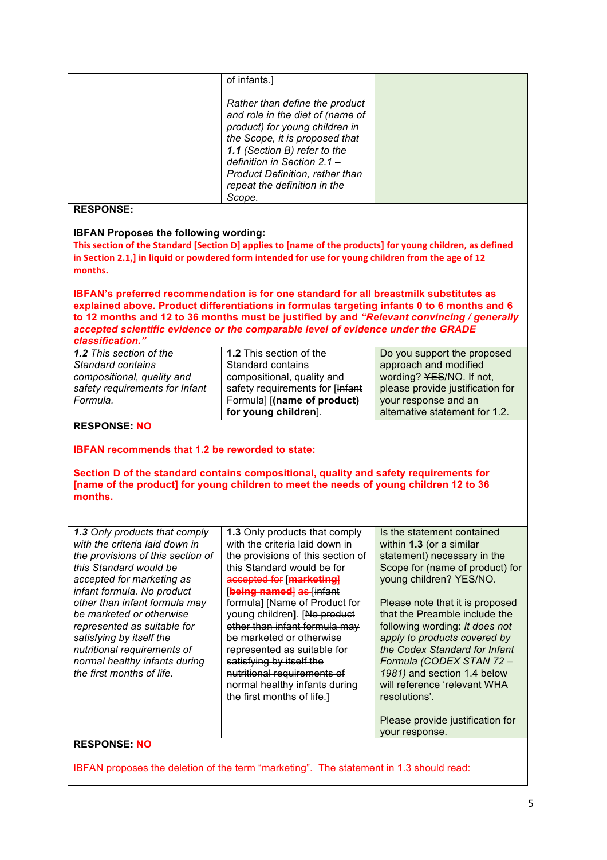|                                                                                                                                                                                | of infants.                                                                                                                                                                               |                                  |  |
|--------------------------------------------------------------------------------------------------------------------------------------------------------------------------------|-------------------------------------------------------------------------------------------------------------------------------------------------------------------------------------------|----------------------------------|--|
|                                                                                                                                                                                |                                                                                                                                                                                           |                                  |  |
|                                                                                                                                                                                | Rather than define the product                                                                                                                                                            |                                  |  |
|                                                                                                                                                                                | and role in the diet of (name of                                                                                                                                                          |                                  |  |
|                                                                                                                                                                                | product) for young children in                                                                                                                                                            |                                  |  |
|                                                                                                                                                                                | the Scope, it is proposed that                                                                                                                                                            |                                  |  |
|                                                                                                                                                                                | 1.1 (Section B) refer to the                                                                                                                                                              |                                  |  |
|                                                                                                                                                                                | definition in Section 2.1 -                                                                                                                                                               |                                  |  |
|                                                                                                                                                                                | <b>Product Definition, rather than</b>                                                                                                                                                    |                                  |  |
|                                                                                                                                                                                | repeat the definition in the                                                                                                                                                              |                                  |  |
|                                                                                                                                                                                | Scope.                                                                                                                                                                                    |                                  |  |
| <b>RESPONSE:</b>                                                                                                                                                               |                                                                                                                                                                                           |                                  |  |
|                                                                                                                                                                                |                                                                                                                                                                                           |                                  |  |
| <b>IBFAN Proposes the following wording:</b>                                                                                                                                   | This section of the Standard [Section D] applies to [name of the products] for young children, as defined                                                                                 |                                  |  |
|                                                                                                                                                                                |                                                                                                                                                                                           |                                  |  |
|                                                                                                                                                                                | in Section 2.1,] in liquid or powdered form intended for use for young children from the age of 12                                                                                        |                                  |  |
| months.                                                                                                                                                                        |                                                                                                                                                                                           |                                  |  |
|                                                                                                                                                                                | IBFAN's preferred recommendation is for one standard for all breastmilk substitutes as                                                                                                    |                                  |  |
|                                                                                                                                                                                |                                                                                                                                                                                           |                                  |  |
|                                                                                                                                                                                | explained above. Product differentiations in formulas targeting infants 0 to 6 months and 6<br>to 12 months and 12 to 36 months must be justified by and "Relevant convincing / generally |                                  |  |
|                                                                                                                                                                                |                                                                                                                                                                                           |                                  |  |
| classification."                                                                                                                                                               | accepted scientific evidence or the comparable level of evidence under the GRADE                                                                                                          |                                  |  |
| 1.2 This section of the                                                                                                                                                        | 1.2 This section of the                                                                                                                                                                   |                                  |  |
|                                                                                                                                                                                |                                                                                                                                                                                           | Do you support the proposed      |  |
| Standard contains                                                                                                                                                              | Standard contains                                                                                                                                                                         | approach and modified            |  |
| compositional, quality and                                                                                                                                                     | compositional, quality and                                                                                                                                                                | wording? YES/NO. If not,         |  |
| safety requirements for Infant                                                                                                                                                 | safety requirements for [Infant                                                                                                                                                           | please provide justification for |  |
| Formula.                                                                                                                                                                       | Formula] [(name of product)                                                                                                                                                               | your response and an             |  |
|                                                                                                                                                                                | for young children].                                                                                                                                                                      | alternative statement for 1.2.   |  |
| <b>RESPONSE: NO</b>                                                                                                                                                            |                                                                                                                                                                                           |                                  |  |
|                                                                                                                                                                                |                                                                                                                                                                                           |                                  |  |
| <b>IBFAN recommends that 1.2 be reworded to state:</b>                                                                                                                         |                                                                                                                                                                                           |                                  |  |
|                                                                                                                                                                                |                                                                                                                                                                                           |                                  |  |
| Section D of the standard contains compositional, quality and safety requirements for<br>[name of the product] for young children to meet the needs of young children 12 to 36 |                                                                                                                                                                                           |                                  |  |
|                                                                                                                                                                                |                                                                                                                                                                                           |                                  |  |
| months.                                                                                                                                                                        |                                                                                                                                                                                           |                                  |  |
|                                                                                                                                                                                |                                                                                                                                                                                           |                                  |  |
|                                                                                                                                                                                |                                                                                                                                                                                           |                                  |  |
| 1.3 Only products that comply                                                                                                                                                  | 1.3 Only products that comply                                                                                                                                                             | Is the statement contained       |  |
| with the criteria laid down in                                                                                                                                                 | with the criteria laid down in                                                                                                                                                            | within 1.3 (or a similar         |  |
| the provisions of this section of                                                                                                                                              | the provisions of this section of                                                                                                                                                         | statement) necessary in the      |  |
| this Standard would be                                                                                                                                                         | this Standard would be for                                                                                                                                                                | Scope for (name of product) for  |  |
| accepted for marketing as                                                                                                                                                      | accepted for [marketing]                                                                                                                                                                  | young children? YES/NO.          |  |
| infant formula. No product                                                                                                                                                     | <b>being named as linfant</b>                                                                                                                                                             |                                  |  |
| other than infant formula may                                                                                                                                                  | formula] [Name of Product for                                                                                                                                                             | Please note that it is proposed  |  |
| be marketed or otherwise                                                                                                                                                       | young children]. [No product                                                                                                                                                              | that the Preamble include the    |  |
| represented as suitable for                                                                                                                                                    | other than infant formula may                                                                                                                                                             | following wording: It does not   |  |
| satisfying by itself the                                                                                                                                                       | be marketed or otherwise                                                                                                                                                                  | apply to products covered by     |  |
| nutritional requirements of                                                                                                                                                    | represented as suitable for                                                                                                                                                               | the Codex Standard for Infant    |  |
| normal healthy infants during                                                                                                                                                  | satisfying by itself the                                                                                                                                                                  | Formula (CODEX STAN 72 -         |  |
| the first months of life.                                                                                                                                                      | nutritional requirements of                                                                                                                                                               | 1981) and section 1.4 below      |  |
|                                                                                                                                                                                | normal healthy infants during                                                                                                                                                             | will reference 'relevant WHA     |  |
|                                                                                                                                                                                |                                                                                                                                                                                           |                                  |  |
|                                                                                                                                                                                | the first months of life.]                                                                                                                                                                | resolutions'.                    |  |
|                                                                                                                                                                                |                                                                                                                                                                                           |                                  |  |
|                                                                                                                                                                                |                                                                                                                                                                                           | Please provide justification for |  |
|                                                                                                                                                                                |                                                                                                                                                                                           | your response.                   |  |
| <b>RESPONSE: NO</b>                                                                                                                                                            |                                                                                                                                                                                           |                                  |  |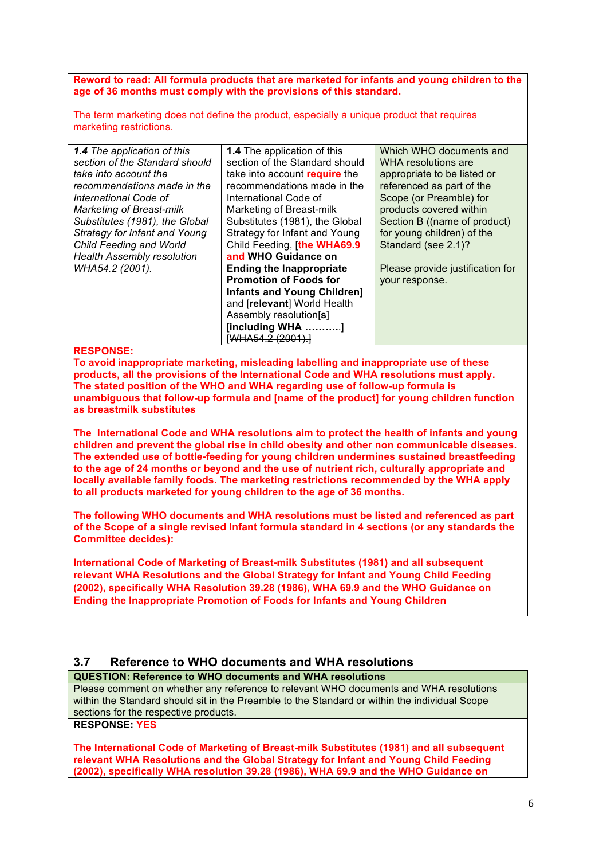**Reword to read: All formula products that are marketed for infants and young children to the age of 36 months must comply with the provisions of this standard.**

The term marketing does not define the product, especially a unique product that requires marketing restrictions.

| <b>1.4</b> The application of this | <b>1.4</b> The application of this | Which WHO documents and          |
|------------------------------------|------------------------------------|----------------------------------|
| section of the Standard should     | section of the Standard should     | WHA resolutions are              |
| take into account the              | take into account require the      | appropriate to be listed or      |
| recommendations made in the        | recommendations made in the        | referenced as part of the        |
| International Code of              | International Code of              | Scope (or Preamble) for          |
| <b>Marketing of Breast-milk</b>    | Marketing of Breast-milk           | products covered within          |
| Substitutes (1981), the Global     | Substitutes (1981), the Global     | Section B ((name of product)     |
| Strategy for Infant and Young      | Strategy for Infant and Young      | for young children) of the       |
| Child Feeding and World            | Child Feeding, [the WHA69.9]       | Standard (see 2.1)?              |
| <b>Health Assembly resolution</b>  | and WHO Guidance on                |                                  |
| WHA54.2 (2001).                    | <b>Ending the Inappropriate</b>    | Please provide justification for |
|                                    | <b>Promotion of Foods for</b>      | your response.                   |
|                                    | Infants and Young Children]        |                                  |
|                                    | and [relevant] World Health        |                                  |
|                                    | Assembly resolution[s]             |                                  |
|                                    | $[including WHA$ ]                 |                                  |
|                                    | [WHA54.2 (2001).]                  |                                  |

#### **RESPONSE:**

**To avoid inappropriate marketing, misleading labelling and inappropriate use of these products, all the provisions of the International Code and WHA resolutions must apply. The stated position of the WHO and WHA regarding use of follow-up formula is unambiguous that follow-up formula and [name of the product] for young children function as breastmilk substitutes**

**The International Code and WHA resolutions aim to protect the health of infants and young children and prevent the global rise in child obesity and other non communicable diseases. The extended use of bottle-feeding for young children undermines sustained breastfeeding to the age of 24 months or beyond and the use of nutrient rich, culturally appropriate and locally available family foods. The marketing restrictions recommended by the WHA apply to all products marketed for young children to the age of 36 months.**

**The following WHO documents and WHA resolutions must be listed and referenced as part of the Scope of a single revised Infant formula standard in 4 sections (or any standards the Committee decides):**

**International Code of Marketing of Breast-milk Substitutes (1981) and all subsequent relevant WHA Resolutions and the Global Strategy for Infant and Young Child Feeding (2002), specifically WHA Resolution 39.28 (1986), WHA 69.9 and the WHO Guidance on Ending the Inappropriate Promotion of Foods for Infants and Young Children**

# **3.7 Reference to WHO documents and WHA resolutions**

**QUESTION: Reference to WHO documents and WHA resolutions**

Please comment on whether any reference to relevant WHO documents and WHA resolutions within the Standard should sit in the Preamble to the Standard or within the individual Scope sections for the respective products.

## **RESPONSE: YES**

**The International Code of Marketing of Breast-milk Substitutes (1981) and all subsequent relevant WHA Resolutions and the Global Strategy for Infant and Young Child Feeding (2002), specifically WHA resolution 39.28 (1986), WHA 69.9 and the WHO Guidance on**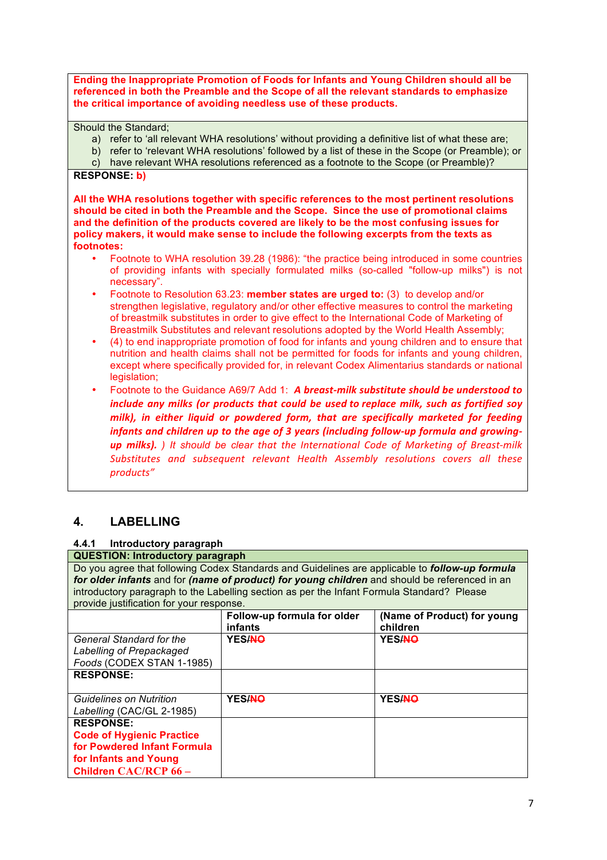**Ending the Inappropriate Promotion of Foods for Infants and Young Children should all be referenced in both the Preamble and the Scope of all the relevant standards to emphasize the critical importance of avoiding needless use of these products.** 

Should the Standard;

- a) refer to 'all relevant WHA resolutions' without providing a definitive list of what these are;
- b) refer to 'relevant WHA resolutions' followed by a list of these in the Scope (or Preamble); or
- c) have relevant WHA resolutions referenced as a footnote to the Scope (or Preamble)?

#### **RESPONSE: b)**

**All the WHA resolutions together with specific references to the most pertinent resolutions should be cited in both the Preamble and the Scope. Since the use of promotional claims and the definition of the products covered are likely to be the most confusing issues for policy makers, it would make sense to include the following excerpts from the texts as footnotes:**

- Footnote to WHA resolution 39.28 (1986): "the practice being introduced in some countries of providing infants with specially formulated milks (so-called "follow-up milks") is not necessary".
- Footnote to Resolution 63.23: **member states are urged to:** (3) to develop and/or strengthen legislative, regulatory and/or other effective measures to control the marketing of breastmilk substitutes in order to give effect to the International Code of Marketing of Breastmilk Substitutes and relevant resolutions adopted by the World Health Assembly;
- (4) to end inappropriate promotion of food for infants and young children and to ensure that nutrition and health claims shall not be permitted for foods for infants and young children, except where specifically provided for, in relevant Codex Alimentarius standards or national legislation:
- Footnote to the Guidance A69/7 Add 1: *A breast-milk substitute should be understood to include any milks (or products that could be used to replace milk, such as fortified soy milk), in either liquid or powdered form, that are specifically marketed for feeding infants and children up to the age of 3 years (including follow-up formula and growing***up** milks). It should be clear that the International Code of Marketing of Breast-milk Substitutes and subsequent relevant Health Assembly resolutions covers all these *products"*

# **4. LABELLING**

## **4.4.1 Introductory paragraph**

**QUESTION: Introductory paragraph** Do you agree that following Codex Standards and Guidelines are applicable to *follow-up formula for older infants* and for *(name of product) for young children* and should be referenced in an introductory paragraph to the Labelling section as per the Infant Formula Standard? Please provide justification for your response.

|                                                                                          | Follow-up formula for older<br>infants | (Name of Product) for young<br>children |
|------------------------------------------------------------------------------------------|----------------------------------------|-----------------------------------------|
| <b>General Standard for the</b><br>Labelling of Prepackaged<br>Foods (CODEX STAN 1-1985) | YES/NO                                 | YES/NO                                  |
| <b>RESPONSE:</b>                                                                         |                                        |                                         |
| Guidelines on Nutrition<br>Labelling (CAC/GL 2-1985)                                     | YES/NO                                 | <b>YES/NO</b>                           |
| <b>RESPONSE:</b>                                                                         |                                        |                                         |
| <b>Code of Hygienic Practice</b>                                                         |                                        |                                         |
| for Powdered Infant Formula                                                              |                                        |                                         |
| for Infants and Young                                                                    |                                        |                                         |
| Children CAC/RCP 66 -                                                                    |                                        |                                         |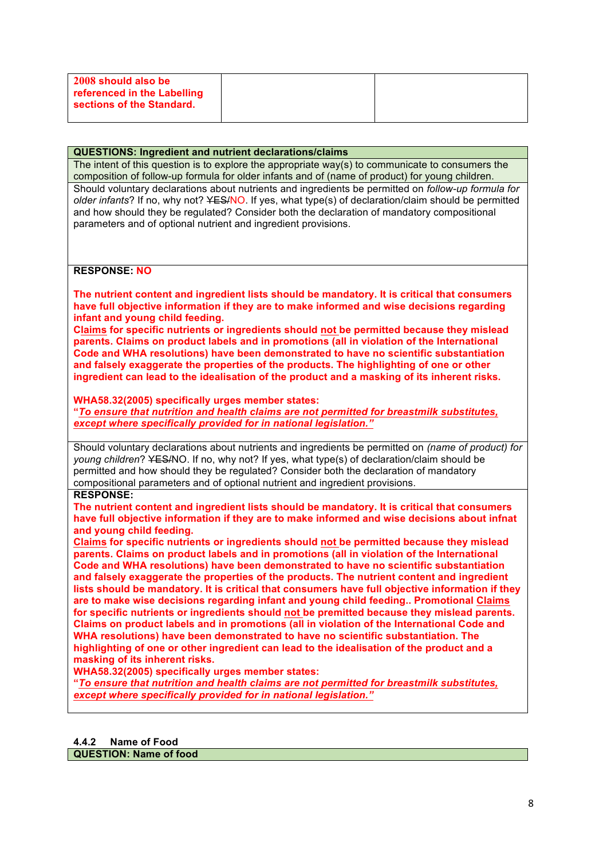| 2008 should also be<br>referenced in the Labelling<br>sections of the Standard. |  |
|---------------------------------------------------------------------------------|--|
|                                                                                 |  |

#### **QUESTIONS: Ingredient and nutrient declarations/claims**

The intent of this question is to explore the appropriate way(s) to communicate to consumers the composition of follow-up formula for older infants and of (name of product) for young children. Should voluntary declarations about nutrients and ingredients be permitted on *follow-up formula for older infants*? If no, why not? YES/NO. If yes, what type(s) of declaration/claim should be permitted and how should they be regulated? Consider both the declaration of mandatory compositional parameters and of optional nutrient and ingredient provisions.

#### **RESPONSE: NO**

**The nutrient content and ingredient lists should be mandatory. It is critical that consumers have full objective information if they are to make informed and wise decisions regarding infant and young child feeding.** 

**Claims for specific nutrients or ingredients should not be permitted because they mislead parents. Claims on product labels and in promotions (all in violation of the International Code and WHA resolutions) have been demonstrated to have no scientific substantiation and falsely exaggerate the properties of the products. The highlighting of one or other ingredient can lead to the idealisation of the product and a masking of its inherent risks.**

#### **WHA58.32(2005) specifically urges member states:**

**"***To ensure that nutrition and health claims are not permitted for breastmilk substitutes, except where specifically provided for in national legislation."* 

Should voluntary declarations about nutrients and ingredients be permitted on *(name of product) for young children*? YES/NO. If no, why not? If yes, what type(s) of declaration/claim should be permitted and how should they be regulated? Consider both the declaration of mandatory compositional parameters and of optional nutrient and ingredient provisions.

#### **RESPONSE:**

**The nutrient content and ingredient lists should be mandatory. It is critical that consumers have full objective information if they are to make informed and wise decisions about infnat and young child feeding.** 

**Claims for specific nutrients or ingredients should not be permitted because they mislead parents. Claims on product labels and in promotions (all in violation of the International Code and WHA resolutions) have been demonstrated to have no scientific substantiation**  and falsely exaggerate the properties of the products. The nutrient content and ingredient **lists should be mandatory. It is critical that consumers have full objective information if they are to make wise decisions regarding infant and young child feeding.. Promotional Claims for specific nutrients or ingredients should not be premitted because they mislead parents. Claims on product labels and in promotions (all in violation of the International Code and WHA resolutions) have been demonstrated to have no scientific substantiation. The highlighting of one or other ingredient can lead to the idealisation of the product and a masking of its inherent risks.**

**WHA58.32(2005) specifically urges member states:**

**"***To ensure that nutrition and health claims are not permitted for breastmilk substitutes, except where specifically provided for in national legislation."* 

**QUESTION: Name of food**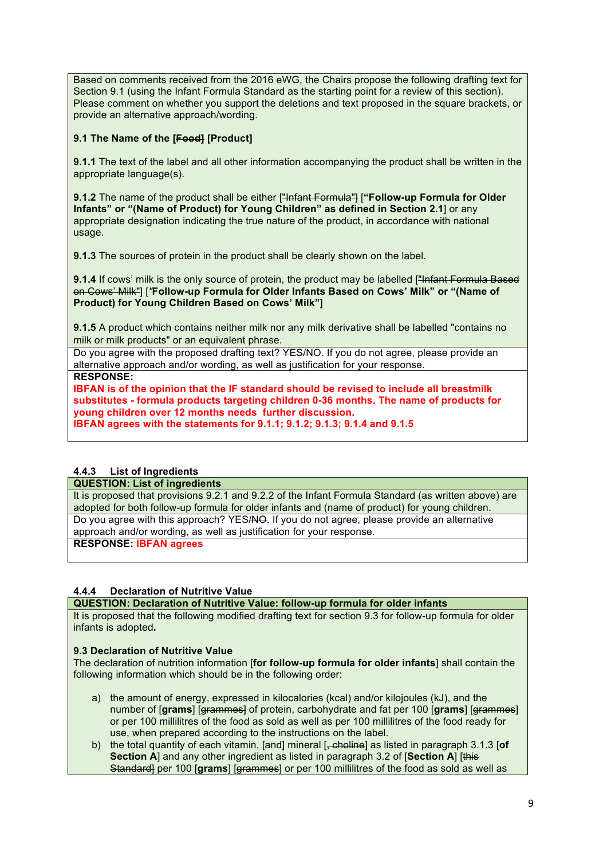Based on comments received from the 2016 eWG, the Chairs propose the following drafting text for Section 9.1 (using the Infant Formula Standard as the starting point for a review of this section). Please comment on whether you support the deletions and text proposed in the square brackets, or provide an alternative approach/wording.

## **9.1 The Name of the [Food] [Product]**

**9.1.1** The text of the label and all other information accompanying the product shall be written in the appropriate language(s).

**9.1.2** The name of the product shall be either ["Infant Formula"] [**"Follow-up Formula for Older Infants" or "(Name of Product) for Young Children" as defined in Section 2.1**] or any appropriate designation indicating the true nature of the product, in accordance with national usage.

**9.1.3** The sources of protein in the product shall be clearly shown on the label.

**9.1.4** If cows' milk is the only source of protein, the product may be labelled ["Infant Formula Based"] on Cows' Milk"] [*"***Follow-up Formula for Older Infants Based on Cows' Milk" or "(Name of Product) for Young Children Based on Cows' Milk"**]

**9.1.5** A product which contains neither milk nor any milk derivative shall be labelled "contains no milk or milk products" or an equivalent phrase.

Do you agree with the proposed drafting text? YES/NO. If you do not agree, please provide an alternative approach and/or wording, as well as justification for your response.

**RESPONSE:**

**IBFAN is of the opinion that the IF standard should be revised to include all breastmilk substitutes - formula products targeting children 0-36 months. The name of products for young children over 12 months needs further discussion. IBFAN agrees with the statements for 9.1.1; 9.1.2; 9.1.3; 9.1.4 and 9.1.5**

## **4.4.3 List of Ingredients**

#### **QUESTION: List of ingredients**

It is proposed that provisions 9.2.1 and 9.2.2 of the Infant Formula Standard (as written above) are adopted for both follow-up formula for older infants and (name of product) for young children. Do you agree with this approach? YES/NO. If you do not agree, please provide an alternative approach and/or wording, as well as justification for your response.

**RESPONSE: IBFAN agrees**

#### **4.4.4 Declaration of Nutritive Value**

**QUESTION: Declaration of Nutritive Value: follow-up formula for older infants**

It is proposed that the following modified drafting text for section 9.3 for follow-up formula for older infants is adopted**.**

#### **9.3 Declaration of Nutritive Value**

The declaration of nutrition information [**for follow-up formula for older infants**] shall contain the following information which should be in the following order:

- a) the amount of energy, expressed in kilocalories (kcal) and/or kilojoules (kJ), and the number of [**grams**] [grammes] of protein, carbohydrate and fat per 100 [**grams**] [grammes] or per 100 millilitres of the food as sold as well as per 100 millilitres of the food ready for use, when prepared according to the instructions on the label.
- b) the total quantity of each vitamin, [and] mineral [, choline] as listed in paragraph 3.1.3 [**of Section A** and any other ingredient as listed in paragraph 3.2 of **[Section A**] [this Standard] per 100 [grams] [grammes] or per 100 millilitres of the food as sold as well as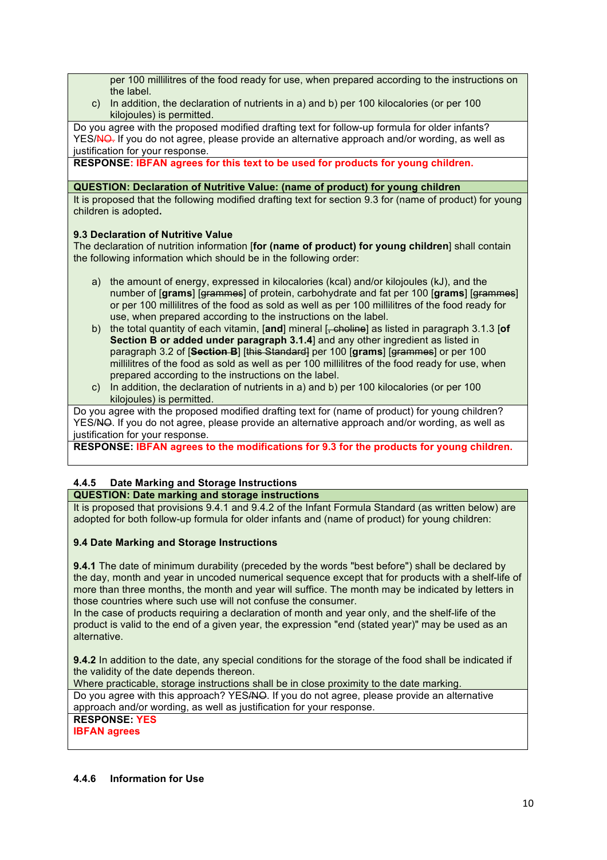per 100 millilitres of the food ready for use, when prepared according to the instructions on the label.

c) In addition, the declaration of nutrients in a) and b) per 100 kilocalories (or per 100 kilojoules) is permitted.

Do you agree with the proposed modified drafting text for follow-up formula for older infants? YES/NO. If you do not agree, please provide an alternative approach and/or wording, as well as justification for your response.

**RESPONSE: IBFAN agrees for this text to be used for products for young children.** 

#### **QUESTION: Declaration of Nutritive Value: (name of product) for young children**

It is proposed that the following modified drafting text for section 9.3 for (name of product) for young children is adopted**.**

#### **9.3 Declaration of Nutritive Value**

The declaration of nutrition information [**for (name of product) for young children**] shall contain the following information which should be in the following order:

- a) the amount of energy, expressed in kilocalories (kcal) and/or kilojoules (kJ), and the number of [**grams**] [grammes] of protein, carbohydrate and fat per 100 [**grams**] [grammes] or per 100 millilitres of the food as sold as well as per 100 millilitres of the food ready for use, when prepared according to the instructions on the label.
- b) the total quantity of each vitamin, [**and**] mineral [, choline] as listed in paragraph 3.1.3 [**of Section B or added under paragraph 3.1.4**] and any other ingredient as listed in paragraph 3.2 of [**Section B**] [this Standard] per 100 [**grams**] [grammes] or per 100 millilitres of the food as sold as well as per 100 millilitres of the food ready for use, when prepared according to the instructions on the label.
- c) In addition, the declaration of nutrients in a) and b) per 100 kilocalories (or per 100 kilojoules) is permitted.

Do you agree with the proposed modified drafting text for (name of product) for young children? YES/NO. If you do not agree, please provide an alternative approach and/or wording, as well as justification for your response.

**RESPONSE: IBFAN agrees to the modifications for 9.3 for the products for young children.**

# **4.4.5 Date Marking and Storage Instructions**

**QUESTION: Date marking and storage instructions**

It is proposed that provisions 9.4.1 and 9.4.2 of the Infant Formula Standard (as written below) are adopted for both follow-up formula for older infants and (name of product) for young children:

#### **9.4 Date Marking and Storage Instructions**

**9.4.1** The date of minimum durability (preceded by the words "best before") shall be declared by the day, month and year in uncoded numerical sequence except that for products with a shelf-life of more than three months, the month and year will suffice. The month may be indicated by letters in those countries where such use will not confuse the consumer.

In the case of products requiring a declaration of month and year only, and the shelf-life of the product is valid to the end of a given year, the expression "end (stated year)" may be used as an alternative.

**9.4.2** In addition to the date, any special conditions for the storage of the food shall be indicated if the validity of the date depends thereon.

Where practicable, storage instructions shall be in close proximity to the date marking. Do you agree with this approach? YES/NO. If you do not agree, please provide an alternative approach and/or wording, as well as justification for your response.

# **RESPONSE: YES**

**IBFAN agrees**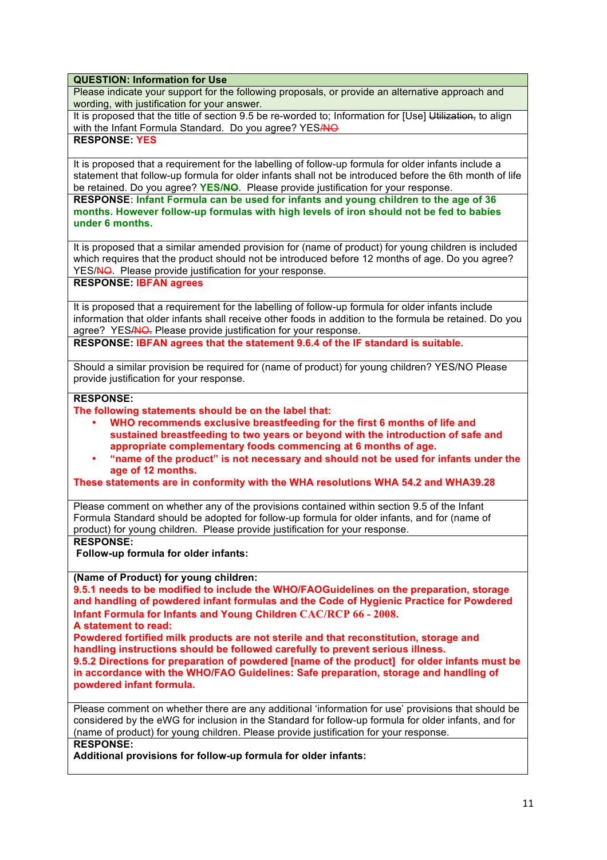## **QUESTION: Information for Use**

Please indicate your support for the following proposals, or provide an alternative approach and wording, with justification for your answer.

It is proposed that the title of section 9.5 be re-worded to; Information for [Use] Utilization, to align with the Infant Formula Standard. Do you agree? YES/NO

## **RESPONSE: YES**

It is proposed that a requirement for the labelling of follow-up formula for older infants include a statement that follow-up formula for older infants shall not be introduced before the 6th month of life be retained. Do you agree? YES/NO. Please provide justification for your response.

**RESPONSE: Infant Formula can be used for infants and young children to the age of 36 months. However follow-up formulas with high levels of iron should not be fed to babies under 6 months.**

It is proposed that a similar amended provision for (name of product) for young children is included which requires that the product should not be introduced before 12 months of age. Do you agree? YES/NO. Please provide justification for your response.

#### **RESPONSE: IBFAN agrees**

It is proposed that a requirement for the labelling of follow-up formula for older infants include information that older infants shall receive other foods in addition to the formula be retained. Do you agree? YES/NO. Please provide justification for your response.

**RESPONSE: IBFAN agrees that the statement 9.6.4 of the IF standard is suitable.**

Should a similar provision be required for (name of product) for young children? YES/NO Please provide justification for your response.

# **RESPONSE:**

**The following statements should be on the label that:** 

- **WHO recommends exclusive breastfeeding for the first 6 months of life and sustained breastfeeding to two years or beyond with the introduction of safe and appropriate complementary foods commencing at 6 months of age.**
- **"name of the product" is not necessary and should not be used for infants under the age of 12 months.**

**These statements are in conformity with the WHA resolutions WHA 54.2 and WHA39.28**

Please comment on whether any of the provisions contained within section 9.5 of the Infant Formula Standard should be adopted for follow-up formula for older infants, and for (name of product) for young children. Please provide justification for your response.

## **RESPONSE:**

**Follow-up formula for older infants:**

#### **(Name of Product) for young children:**

**9.5.1 needs to be modified to include the WHO/FAOGuidelines on the preparation, storage and handling of powdered infant formulas and the Code of Hygienic Practice for Powdered Infant Formula for Infants and Young Children CAC/RCP 66 - 2008.**

**A statement to read:** 

**Powdered fortified milk products are not sterile and that reconstitution, storage and handling instructions should be followed carefully to prevent serious illness.**

**9.5.2 Directions for preparation of powdered [name of the product] for older infants must be in accordance with the WHO/FAO Guidelines: Safe preparation, storage and handling of powdered infant formula.**

Please comment on whether there are any additional 'information for use' provisions that should be considered by the eWG for inclusion in the Standard for follow-up formula for older infants, and for (name of product) for young children. Please provide justification for your response. **RESPONSE:**

**Additional provisions for follow-up formula for older infants:**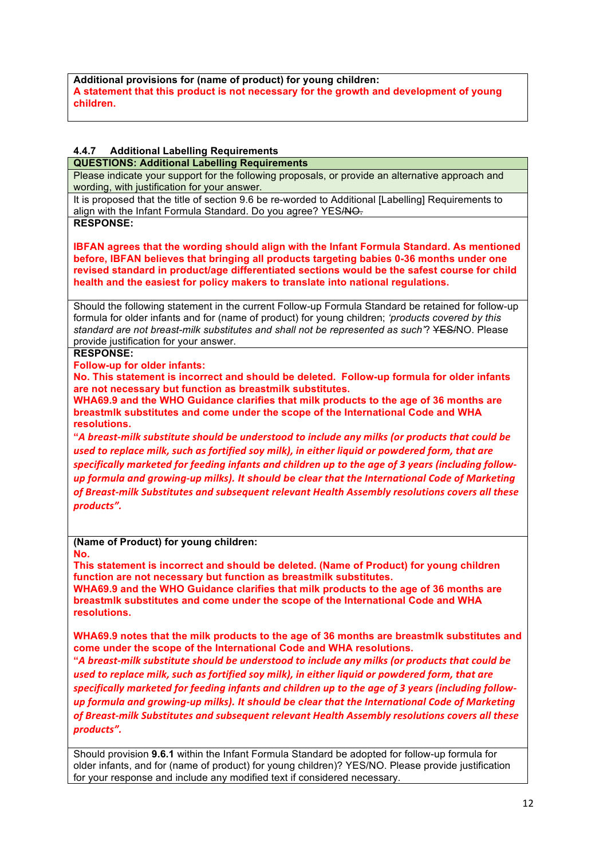**Additional provisions for (name of product) for young children: A statement that this product is not necessary for the growth and development of young children.** 

## **4.4.7 Additional Labelling Requirements**

#### **QUESTIONS: Additional Labelling Requirements**

Please indicate your support for the following proposals, or provide an alternative approach and wording, with justification for your answer.

It is proposed that the title of section 9.6 be re-worded to Additional [Labelling] Requirements to align with the Infant Formula Standard. Do you agree? YES/NO.

**RESPONSE:**

**IBFAN agrees that the wording should align with the Infant Formula Standard. As mentioned before, IBFAN believes that bringing all products targeting babies 0-36 months under one revised standard in product/age differentiated sections would be the safest course for child health and the easiest for policy makers to translate into national regulations.**

Should the following statement in the current Follow-up Formula Standard be retained for follow-up formula for older infants and for (name of product) for young children; *'products covered by this standard are not breast-milk substitutes and shall not be represented as such'*? YES/NO. Please provide justification for your answer.

#### **RESPONSE:**

**Follow-up for older infants:** 

**No. This statement is incorrect and should be deleted. Follow-up formula for older infants are not necessary but function as breastmilk substitutes.** 

**WHA69.9 and the WHO Guidance clarifies that milk products to the age of 36 months are breastmlk substitutes and come under the scope of the International Code and WHA resolutions.** 

**"***A breast-milk substitute should be understood to include any milks (or products that could be*  used to replace milk, such as fortified soy milk), in either liquid or powdered form, that are specifically marketed for feeding infants and children up to the age of 3 years (including follow*up* formula and arowing-up milks). It should be clear that the International Code of Marketing of Breast-milk Substitutes and subsequent relevant Health Assembly resolutions covers all these *products".*

**(Name of Product) for young children:**

**No.** 

**This statement is incorrect and should be deleted. (Name of Product) for young children function are not necessary but function as breastmilk substitutes.** 

**WHA69.9 and the WHO Guidance clarifies that milk products to the age of 36 months are breastmlk substitutes and come under the scope of the International Code and WHA resolutions.** 

**WHA69.9 notes that the milk products to the age of 36 months are breastmlk substitutes and come under the scope of the International Code and WHA resolutions.** 

**"***A breast-milk substitute should be understood to include any milks (or products that could be used* to replace milk, such as fortified soy milk), in either liquid or powdered form, that are specifically marketed for feeding infants and children up to the age of 3 years (including follow*up* formula and growing-up milks). It should be clear that the International Code of Marketing of Breast-milk Substitutes and subsequent relevant Health Assembly resolutions covers all these *products".*

Should provision **9.6.1** within the Infant Formula Standard be adopted for follow-up formula for older infants, and for (name of product) for young children)? YES/NO. Please provide justification for your response and include any modified text if considered necessary.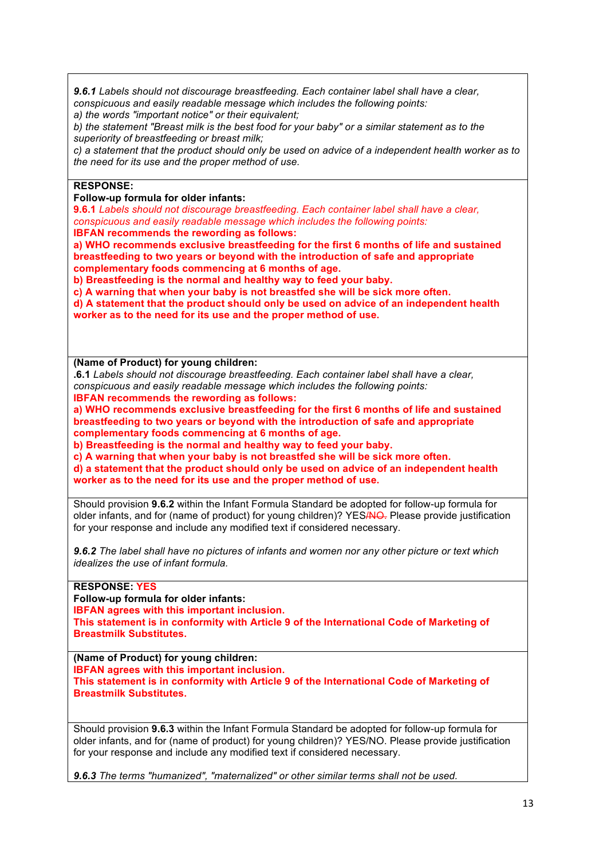*9.6.1 Labels should not discourage breastfeeding. Each container label shall have a clear, conspicuous and easily readable message which includes the following points:*

*a) the words "important notice" or their equivalent;* 

*b) the statement "Breast milk is the best food for your baby" or a similar statement as to the superiority of breastfeeding or breast milk;* 

*c) a statement that the product should only be used on advice of a independent health worker as to the need for its use and the proper method of use.* 

## **RESPONSE:**

**Follow-up formula for older infants:**

**9.6.1** *Labels should not discourage breastfeeding. Each container label shall have a clear, conspicuous and easily readable message which includes the following points:*

**IBFAN recommends the rewording as follows:** 

**a) WHO recommends exclusive breastfeeding for the first 6 months of life and sustained breastfeeding to two years or beyond with the introduction of safe and appropriate complementary foods commencing at 6 months of age.**

**b) Breastfeeding is the normal and healthy way to feed your baby.** 

**c) A warning that when your baby is not breastfed she will be sick more often.**

**d) A statement that the product should only be used on advice of an independent health worker as to the need for its use and the proper method of use.** 

**(Name of Product) for young children:**

**.6.1** *Labels should not discourage breastfeeding. Each container label shall have a clear, conspicuous and easily readable message which includes the following points:* **IBFAN recommends the rewording as follows:** 

**a) WHO recommends exclusive breastfeeding for the first 6 months of life and sustained breastfeeding to two years or beyond with the introduction of safe and appropriate complementary foods commencing at 6 months of age.**

**b) Breastfeeding is the normal and healthy way to feed your baby.** 

**c) A warning that when your baby is not breastfed she will be sick more often.**

**d) a statement that the product should only be used on advice of an independent health worker as to the need for its use and the proper method of use.** 

Should provision **9.6.2** within the Infant Formula Standard be adopted for follow-up formula for older infants, and for (name of product) for young children)? YESANO. Please provide justification for your response and include any modified text if considered necessary.

*9.6.2 The label shall have no pictures of infants and women nor any other picture or text which idealizes the use of infant formula.* 

#### **RESPONSE: YES**

**Follow-up formula for older infants: IBFAN agrees with this important inclusion. This statement is in conformity with Article 9 of the International Code of Marketing of Breastmilk Substitutes.**

**(Name of Product) for young children: IBFAN agrees with this important inclusion. This statement is in conformity with Article 9 of the International Code of Marketing of Breastmilk Substitutes.**

Should provision **9.6.3** within the Infant Formula Standard be adopted for follow-up formula for older infants, and for (name of product) for young children)? YES/NO. Please provide justification for your response and include any modified text if considered necessary.

*9.6.3 The terms "humanized", "maternalized" or other similar terms shall not be used.*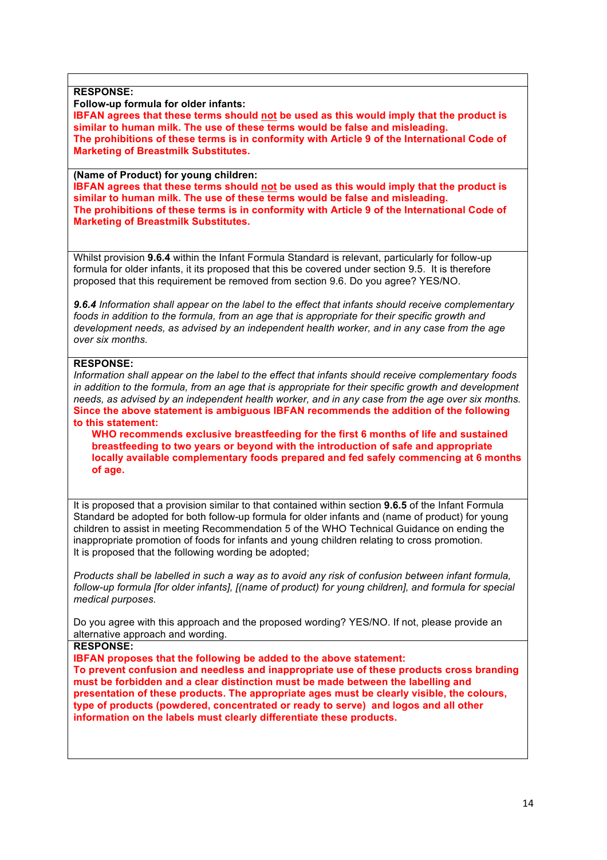**RESPONSE:**

**Follow-up formula for older infants:**

**IBFAN agrees that these terms should not be used as this would imply that the product is similar to human milk. The use of these terms would be false and misleading. The prohibitions of these terms is in conformity with Article 9 of the International Code of Marketing of Breastmilk Substitutes.** 

**(Name of Product) for young children:**

**IBFAN agrees that these terms should not be used as this would imply that the product is similar to human milk. The use of these terms would be false and misleading. The prohibitions of these terms is in conformity with Article 9 of the International Code of Marketing of Breastmilk Substitutes.** 

Whilst provision **9.6.4** within the Infant Formula Standard is relevant, particularly for follow-up formula for older infants, it its proposed that this be covered under section 9.5. It is therefore proposed that this requirement be removed from section 9.6. Do you agree? YES/NO.

*9.6.4 Information shall appear on the label to the effect that infants should receive complementary foods in addition to the formula, from an age that is appropriate for their specific growth and development needs, as advised by an independent health worker, and in any case from the age over six months.* 

## **RESPONSE:**

*Information shall appear on the label to the effect that infants should receive complementary foods in addition to the formula, from an age that is appropriate for their specific growth and development needs, as advised by an independent health worker, and in any case from the age over six months.*  **Since the above statement is ambiguous IBFAN recommends the addition of the following to this statement:**

**WHO recommends exclusive breastfeeding for the first 6 months of life and sustained breastfeeding to two years or beyond with the introduction of safe and appropriate locally available complementary foods prepared and fed safely commencing at 6 months of age.**

It is proposed that a provision similar to that contained within section **9.6.5** of the Infant Formula Standard be adopted for both follow-up formula for older infants and (name of product) for young children to assist in meeting Recommendation 5 of the WHO Technical Guidance on ending the inappropriate promotion of foods for infants and young children relating to cross promotion. It is proposed that the following wording be adopted;

*Products shall be labelled in such a way as to avoid any risk of confusion between infant formula, follow-up formula [for older infants], [(name of product) for young children], and formula for special medical purposes.*

Do you agree with this approach and the proposed wording? YES/NO. If not, please provide an alternative approach and wording.

**RESPONSE:**

**IBFAN proposes that the following be added to the above statement:**

**To prevent confusion and needless and inappropriate use of these products cross branding must be forbidden and a clear distinction must be made between the labelling and presentation of these products. The appropriate ages must be clearly visible, the colours, type of products (powdered, concentrated or ready to serve) and logos and all other information on the labels must clearly differentiate these products.**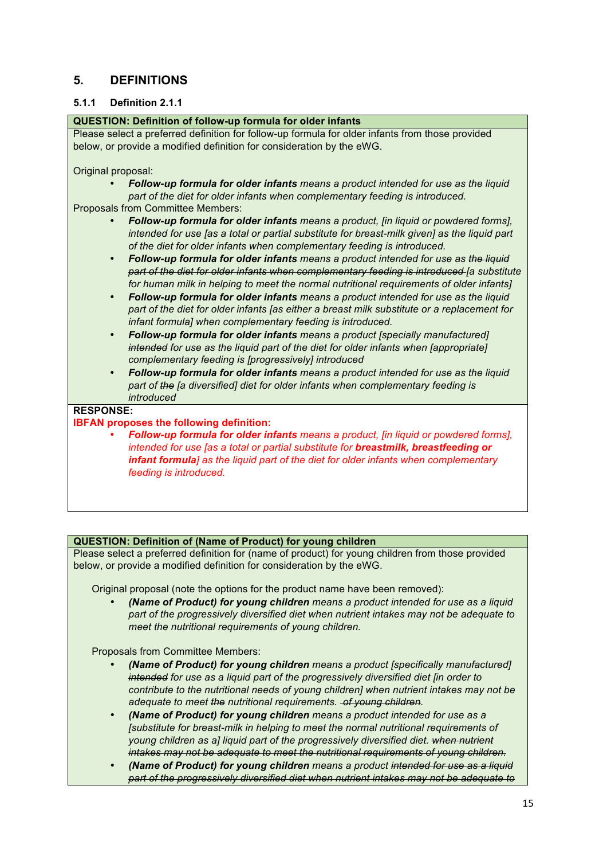# **5. DEFINITIONS**

## **5.1.1 Definition 2.1.1**

#### **QUESTION: Definition of follow-up formula for older infants**

Please select a preferred definition for follow-up formula for older infants from those provided below, or provide a modified definition for consideration by the eWG.

Original proposal:

• *Follow-up formula for older infants means a product intended for use as the liquid part of the diet for older infants when complementary feeding is introduced.*

Proposals from Committee Members:

- *Follow-up formula for older infants means a product, [in liquid or powdered forms], intended for use [as a total or partial substitute for breast-milk given] as the liquid part of the diet for older infants when complementary feeding is introduced.*
- *Follow-up formula for older infants means a product intended for use as the liquid part of the diet for older infants when complementary feeding is introduced [a substitute for human milk in helping to meet the normal nutritional requirements of older infants]*
- *Follow-up formula for older infants means a product intended for use as the liquid part of the diet for older infants [as either a breast milk substitute or a replacement for infant formula] when complementary feeding is introduced.*
- *Follow-up formula for older infants means a product [specially manufactured] intended for use as the liquid part of the diet for older infants when [appropriate] complementary feeding is [progressively] introduced*
- *Follow-up formula for older infants means a product intended for use as the liquid part of the [a diversified] diet for older infants when complementary feeding is introduced*

#### **RESPONSE:**

#### **IBFAN proposes the following definition:**

• *Follow-up formula for older infants means a product, [in liquid or powdered forms], intended for use [as a total or partial substitute for breastmilk, breastfeeding or infant formula] as the liquid part of the diet for older infants when complementary feeding is introduced.*

## **QUESTION: Definition of (Name of Product) for young children**

Please select a preferred definition for (name of product) for young children from those provided below, or provide a modified definition for consideration by the eWG.

Original proposal (note the options for the product name have been removed):

• *(Name of Product) for young children means a product intended for use as a liquid part of the progressively diversified diet when nutrient intakes may not be adequate to meet the nutritional requirements of young children.*

Proposals from Committee Members:

- *(Name of Product) for young children means a product [specifically manufactured] intended for use as a liquid part of the progressively diversified diet [in order to contribute to the nutritional needs of young children] when nutrient intakes may not be adequate to meet the nutritional requirements. of young children.*
- *(Name of Product) for young children means a product intended for use as a [substitute for breast-milk in helping to meet the normal nutritional requirements of young children as a] liquid part of the progressively diversified diet. when nutrient intakes may not be adequate to meet the nutritional requirements of young children.*
- *(Name of Product) for young children means a product intended for use as a liquid part of the progressively diversified diet when nutrient intakes may not be adequate to*